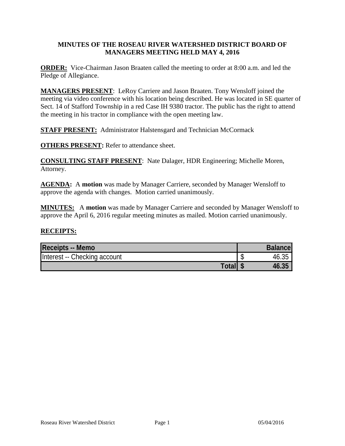## **MINUTES OF THE ROSEAU RIVER WATERSHED DISTRICT BOARD OF MANAGERS MEETING HELD MAY 4, 2016**

**ORDER:** Vice-Chairman Jason Braaten called the meeting to order at 8:00 a.m. and led the Pledge of Allegiance.

**MANAGERS PRESENT**: LeRoy Carriere and Jason Braaten. Tony Wensloff joined the meeting via video conference with his location being described. He was located in SE quarter of Sect. 14 of Stafford Township in a red Case IH 9380 tractor. The public has the right to attend the meeting in his tractor in compliance with the open meeting law.

**STAFF PRESENT:** Administrator Halstensgard and Technician McCormack

**OTHERS PRESENT:** Refer to attendance sheet.

**CONSULTING STAFF PRESENT**: Nate Dalager, HDR Engineering; Michelle Moren, Attorney.

**AGENDA:** A **motion** was made by Manager Carriere, seconded by Manager Wensloff to approve the agenda with changes. Motion carried unanimously.

**MINUTES:** A **motion** was made by Manager Carriere and seconded by Manager Wensloff to approve the April 6, 2016 regular meeting minutes as mailed. Motion carried unanimously.

## **RECEIPTS:**

| <b>Receipts -- Memo</b>      | <b>Balancel</b> |
|------------------------------|-----------------|
| Interest -- Checking account | 46.35           |
| <b>Total</b>                 | 46.35           |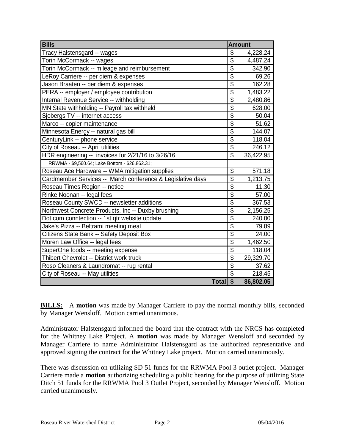| <b>Bills</b>                                               | <b>Amount</b>           |           |
|------------------------------------------------------------|-------------------------|-----------|
| Tracy Halstensgard -- wages                                | \$                      | 4,228.24  |
| Torin McCormack -- wages                                   | $\overline{\$}$         | 4,487.24  |
| Torin McCormack -- mileage and reimbursement               | $\overline{\$}$         | 342.90    |
| LeRoy Carriere -- per diem & expenses                      | $\overline{\$}$         | 69.26     |
| Jason Braaten -- per diem & expenses                       | $\overline{\$}$         | 162.28    |
| PERA -- employer / employee contribution                   | \$                      | 1,483.22  |
| Internal Revenue Service -- withholding                    | $\overline{\$}$         | 2,480.86  |
| MN State withholding -- Payroll tax withheld               | $\overline{\$}$         | 628.00    |
| Sjobergs TV -- internet access                             | $\overline{\$}$         | 50.04     |
| Marco -- copier maintenance                                | $\overline{\$}$         | 51.62     |
| Minnesota Energy -- natural gas bill                       | $\overline{\$}$         | 144.07    |
| CenturyLink -- phone service                               | $\overline{\$}$         | 118.04    |
| City of Roseau -- April utilities                          | $\overline{\$}$         | 246.12    |
| HDR engineering -- invoices for 2/21/16 to 3/26/16         | \$                      | 36,422.95 |
| RRWMA - \$9,560.64; Lake Bottom - \$26,862.31;             |                         |           |
| Roseau Ace Hardware -- WMA mitigation supplies             | \$                      | 571.18    |
| Cardmember Services -- March conference & Legislative days | $\overline{\mathbb{S}}$ | 1,213.75  |
| Roseau Times Region -- notice                              | $\overline{\$}$         | 11.30     |
| Rinke Noonan -- legal fees                                 | $\overline{\$}$         | 57.00     |
| Roseau County SWCD -- newsletter additions                 | $\overline{\$}$         | 367.53    |
| Northwest Concrete Products, Inc -- Duxby brushing         | $\overline{\$}$         | 2,156.25  |
| Dot.com conntection -- 1st qtr website update              | $\overline{\$}$         | 240.00    |
| Jake's Pizza -- Beltrami meeting meal                      | $\overline{\$}$         | 79.89     |
| Citizens State Bank -- Safety Deposit Box                  | $\overline{\$}$         | 24.00     |
| Moren Law Office -- legal fees                             | $\overline{\$}$         | 1,462.50  |
| SuperOne foods -- meeting expense                          | \$                      | 118.04    |
| Thibert Chevrolet -- District work truck                   | $\overline{\$}$         | 29,329.70 |
| Roso Cleaners & Laundromat -- rug rental                   | $\overline{\$}$         | 37.62     |
| City of Roseau -- May utilities                            | $\overline{\$}$         | 218.45    |
| <b>Total</b>                                               | $\overline{\mathbf{s}}$ | 86,802.05 |

**BILLS:** A motion was made by Manager Carriere to pay the normal monthly bills, seconded by Manager Wensloff. Motion carried unanimous.

Administrator Halstensgard informed the board that the contract with the NRCS has completed for the Whitney Lake Project. A **motion** was made by Manager Wensloff and seconded by Manager Carriere to name Administrator Halstensgard as the authorized representative and approved signing the contract for the Whitney Lake project. Motion carried unanimously.

There was discussion on utilizing SD 51 funds for the RRWMA Pool 3 outlet project. Manager Carriere made a **motion** authorizing scheduling a public hearing for the purpose of utilizing State Ditch 51 funds for the RRWMA Pool 3 Outlet Project, seconded by Manager Wensloff. Motion carried unanimously.